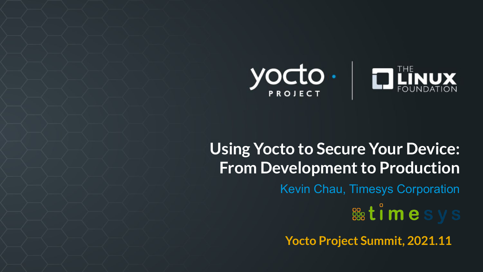

# **Using Yocto to Secure Your Device: From Development to Production** Kevin Chau, Timesys Corporation **BB**<sub>2</sub> times **Yocto Project Summit, 2021.11**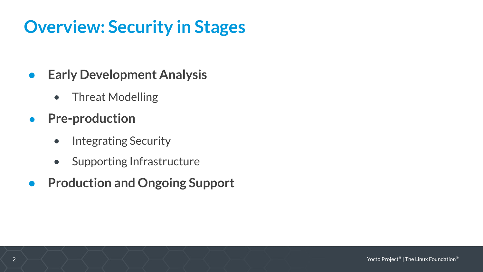# **Overview: Security in Stages**

- **● Early Development Analysis**
	- Threat Modelling
- **● Pre-production**
	- Integrating Security
	- Supporting Infrastructure
- **● Production and Ongoing Support**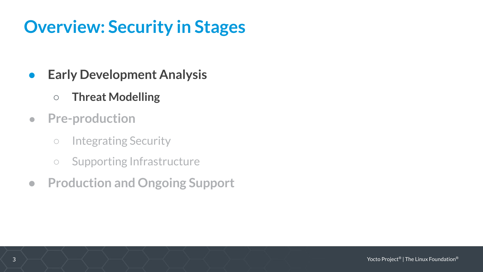# **Overview: Security in Stages**

- **● Early Development Analysis**
	- **○ Threat Modelling**
- **● Pre-production**
	- Integrating Security
	- Supporting Infrastructure
- **● Production and Ongoing Support**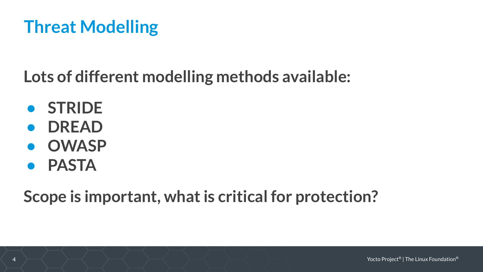# **Threat Modelling**

**Lots of different modelling methods available:**

- **• STRIDE**
- **• DREAD**
- **• OWASP**
- **• PASTA**

**Scope is important, what is critical for protection?**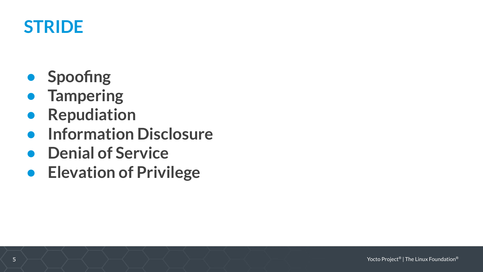#### **STRIDE**

- **• Spoofing**
- **• Tampering**
- **• Repudiation**
- **• Information Disclosure**
- **• Denial of Service**
- **• Elevation of Privilege**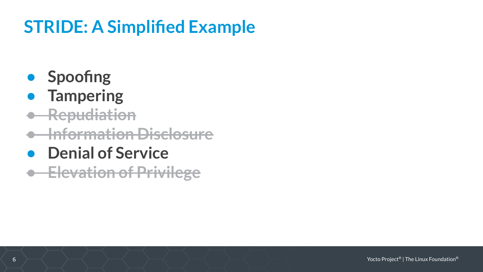# **STRIDE: A Simplified Example**

- **• Spoofing**
- **• Tampering**
- **• Repudiation**
- **• Information Disclosure**
- **• Denial of Service**

**• Elevation of Privilege**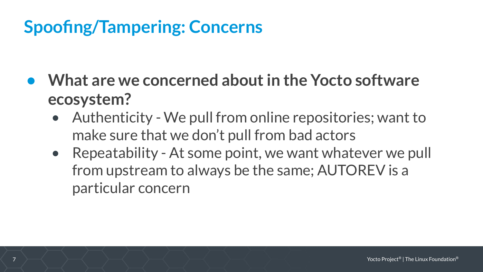# **Spoofing/Tampering: Concerns**

- **• What are we concerned about in the Yocto software ecosystem?**
	- Authenticity We pull from online repositories; want to make sure that we don't pull from bad actors
	- Repeatability At some point, we want whatever we pull from upstream to always be the same; AUTOREV is a particular concern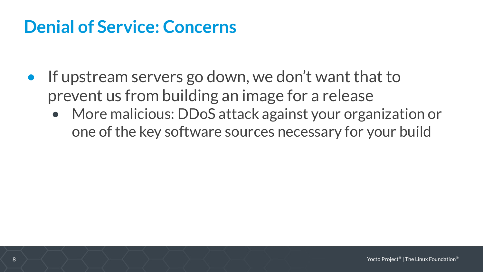#### **Denial of Service: Concerns**

- If upstream servers go down, we don't want that to prevent us from building an image for a release
	- More malicious: DDoS attack against your organization or one of the key software sources necessary for your build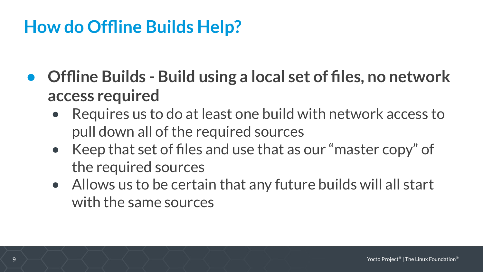#### **How do Offline Builds Help?**

- **• Offline Builds Build using a local set of files, no network access required**
	- Requires us to do at least one build with network access to pull down all of the required sources
	- Keep that set of files and use that as our "master copy" of the required sources
	- Allows us to be certain that any future builds will all start with the same sources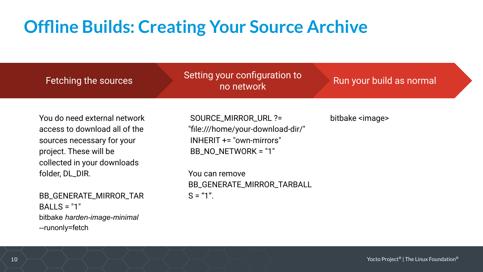# **Offline Builds: Creating Your Source Archive**

| Fetching the sources                                                                                                                                 | Setting your configuration to<br>no network                                                                  | Run your build as normal |
|------------------------------------------------------------------------------------------------------------------------------------------------------|--------------------------------------------------------------------------------------------------------------|--------------------------|
| You do need external network<br>access to download all of the<br>sources necessary for your<br>project. These will be<br>collected in your downloads | SOURCE_MIRROR_URL ?=<br>"file:///home/your-download-dir/"<br>INHERIT += "own-mirrors"<br>BB_NO_NETWORK = "1" | bitbake <image/>         |
| folder, DL_DIR.                                                                                                                                      | You can remove<br>BB_GENERATE_MIRROR_TARBALL                                                                 |                          |
| BB_GENERATE_MIRROR_TAR<br>$BALLS = "1"$<br>bitbake harden-image-minimal                                                                              | $S = "1".$                                                                                                   |                          |

--runonly=fetch

10 Yocto Project® | The Linux Foundation®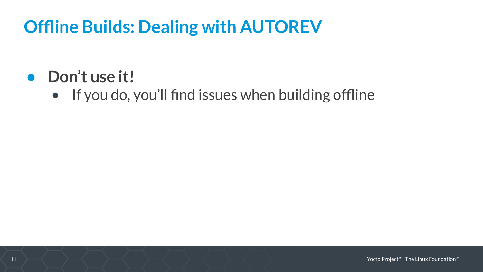# **Offline Builds: Dealing with AUTOREV**

#### **• Don't use it!**

• If you do, you'll find issues when building offline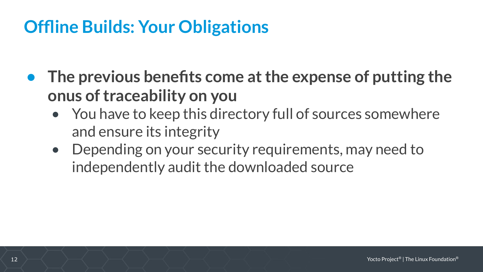# **Offline Builds: Your Obligations**

- **• The previous benefits come at the expense of putting the onus of traceability on you**
	- You have to keep this directory full of sources somewhere and ensure its integrity
	- Depending on your security requirements, may need to independently audit the downloaded source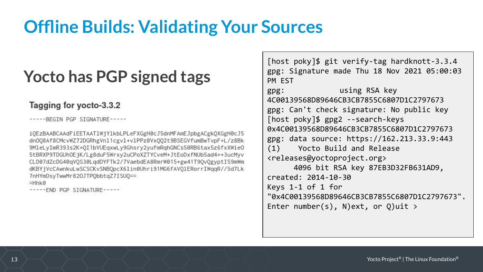#### **Offline Builds: Validating Your Sources**

#### **Yocto has PGP signed tags**

#### Tagging for yocto-3.3.2

-----BEGIN PGP SIGNATURE-----

iOEzBAABCAAdFiEETAAT1WjY1kbLPLeFXGgH0cJ5dnMFAmEJpbgACgkQXGgH0cJ5 dn008Af8CMcvWZ72DGRhgVn11cgv1+v1PPz0Vx002t9BSEGVfumBwTvpF+L/z8Bk 9MleLyImR393s2K+0I1bVUEqxwLy9Ghsry2yufmRqhGNCs50RB6tax5z6fxXWieO 5tBRXP9TDGUhOEjK/Lg8duF5Wrxy2uCPoXZTYCveM+JtEoDxfNUb5ad4++3ucMyv CLD07dZcDG40qVQS30LqdDYFTk2/7VaebdEA8RmrW015+gw41T9QvQgyptI59mWm dKBYjVcCAwnkuLwSCSCKvSNBQpcX6lin0Uhri91MG6fAVQlERorrIWqqR//5d7Lk 7nHYmDsyTwwMr82OJTPQbbtqZ7ISUQ==

 $=$ Hhk $\theta$ 

----- END PGP SIGNATURE-----

[host poky]\$ git verify-tag hardknott-3.3.4 gpg: Signature made Thu 18 Nov 2021 05:00:03 PM EST gpg: using RSA key 4C00139568D89646CB3CB7855C6807D1C2797673 gpg: Can't check signature: No public key [host poky]\$ gpg2 --search-keys 0x4C00139568D89646CB3CB7855C6807D1C2797673 gpg: data source: https://162.213.33.9:443 (1) Yocto Build and Release <releases@yoctoproject.org> 4096 bit RSA key 87EB3D32FB631AD9, created: 2014-10-30 Keys 1-1 of 1 for "0x4C00139568D89646CB3CB7855C6807D1C2797673". Enter number(s), N)ext, or  $Q$ )uit >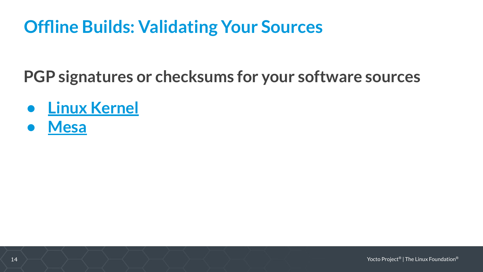#### **Offline Builds: Validating Your Sources**

**PGP signatures or checksums for your software sources**

- **• [Linux Kernel](https://www.kernel.org/category/signatures.html)**
- **• [Mesa](https://gitlab.freedesktop.org/mesa/mesa/-/commit/bdf94921c02b82e0d5f67d7c1ee0aacbce336056)**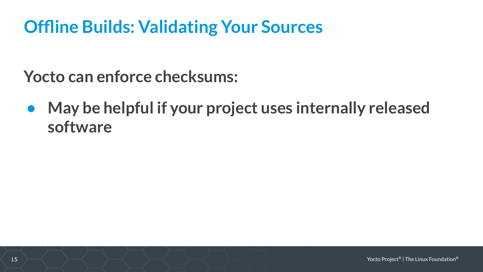# **Offline Builds: Validating Your Sources**

**Yocto can enforce checksums:**

**• May be helpful if your project uses internally released software**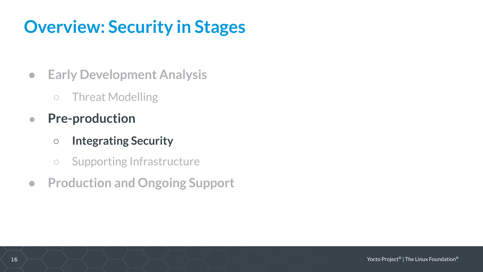# **Overview: Security in Stages**

- **● Early Development Analysis**
	- Threat Modelling
- **● Pre-production**
	- **○ Integrating Security**
	- Supporting Infrastructure
- **● Production and Ongoing Support**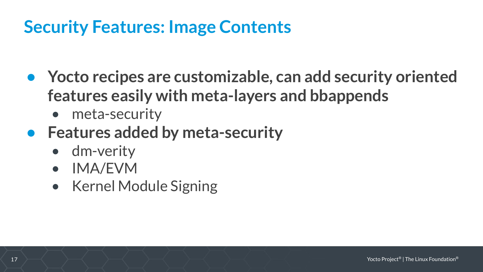#### **Security Features: Image Contents**

- **• Yocto recipes are customizable, can add security oriented features easily with meta-layers and bbappends**
	- meta-security
- **• Features added by meta-security**
	- dm-verity
	- IMA/EVM
	- Kernel Module Signing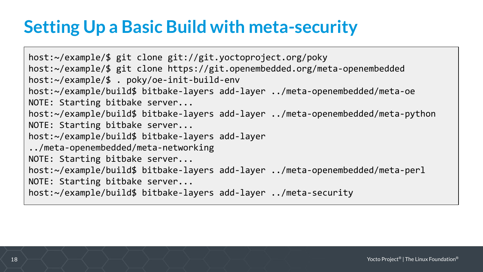# **Setting Up a Basic Build with meta-security**

host:~/example/\$ git clone git://git.yoctoproject.org/poky host:~/example/\$ git clone https://git.openembedded.org/meta-openembedded host:~/example/\$ . poky/oe-init-build-env host:~/example/build\$ bitbake-layers add-layer ../meta-openembedded/meta-oe NOTE: Starting bitbake server... host:~/example/build\$ bitbake-layers add-layer ../meta-openembedded/meta-python NOTE: Starting bitbake server... host:~/example/build\$ bitbake-layers add-layer ../meta-openembedded/meta-networking NOTE: Starting bitbake server... host:~/example/build\$ bitbake-layers add-layer ../meta-openembedded/meta-perl NOTE: Starting bitbake server... host:~/example/build\$ bitbake-layers add-layer ../meta-security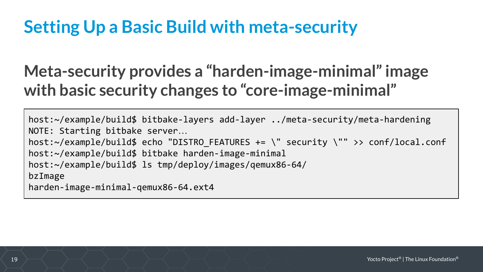# **Setting Up a Basic Build with meta-security**

#### **Meta-security provides a "harden-image-minimal" image with basic security changes to "core-image-minimal"**

```
host:~/example/build$ bitbake-layers add-layer ../meta-security/meta-hardening
NOTE: Starting bitbake server…
host:~/example/build$ echo "DISTRO_FEATURES += \" security \"" >> conf/local.conf
host:~/example/build$ bitbake harden-image-minimal
host:~/example/build$ ls tmp/deploy/images/qemux86-64/
bzImage
harden-image-minimal-qemux86-64.ext4
```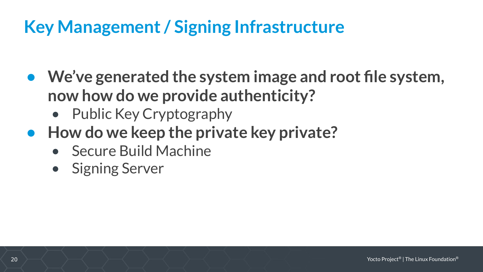# **Key Management / Signing Infrastructure**

- **• We've generated the system image and root file system, now how do we provide authenticity?**
	- Public Key Cryptography
- **•** How do we keep the private key private?
	- Secure Build Machine
	- Signing Server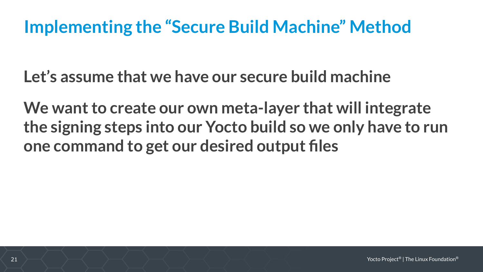#### **Implementing the "Secure Build Machine" Method**

**Let's assume that we have our secure build machine**

**We want to create our own meta-layer that will integrate the signing steps into our Yocto build so we only have to run one command to get our desired output files**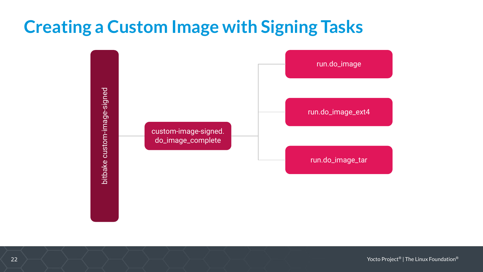#### **Creating a Custom Image with Signing Tasks**



22 Yocto Project® | The Linux Foundation®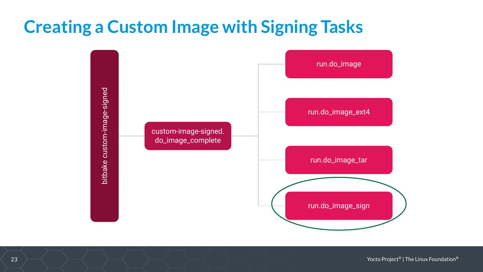#### **Creating a Custom Image with Signing Tasks**



23 Yocto Project® | The Linux Foundation®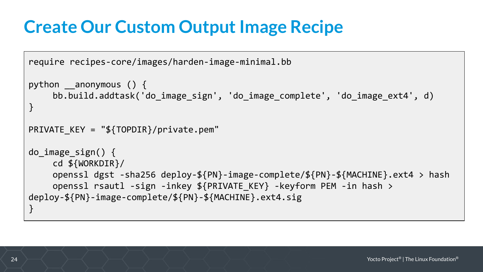#### **Create Our Custom Output Image Recipe**

```
require recipes-core/images/harden-image-minimal.bb
python anonymous () \{bb.build.addtask('do_image_sign', 'do_image_complete', 'do_image_ext4', d)
}
PRIVATE KEY = "$\{TOPDIR\}/private.pem"do_image_sign() {
     cd ${WORKDIR}/
     openssl dgst -sha256 deploy-${PN}-image-complete/${PN}-${MACHINE}.ext4 > hash
    openssl rsautl -sign -inkey ${PRIVATE KEY} -keyform PEM -in hash >
deploy-${PN}-image-complete/${PN}-${MACHINE}.ext4.sig
}
```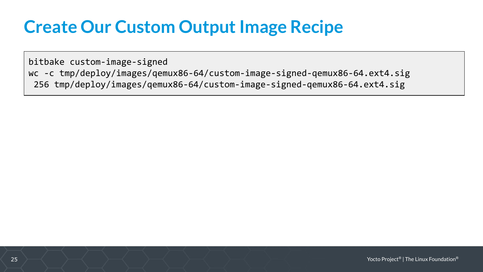#### **Create Our Custom Output Image Recipe**

bitbake custom-image-signed wc -c tmp/deploy/images/qemux86-64/custom-image-signed-qemux86-64.ext4.sig 256 tmp/deploy/images/qemux86-64/custom-image-signed-qemux86-64.ext4.sig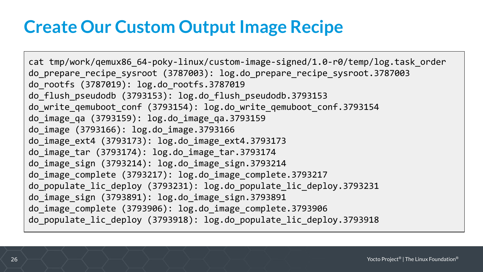#### **Create Our Custom Output Image Recipe**

cat tmp/work/qemux86\_64-poky-linux/custom-image-signed/1.0-r0/temp/log.task\_order do\_prepare\_recipe\_sysroot (3787003): log.do prepare recipe sysroot.3787003 do\_rootfs (3787019): log.do\_rootfs.3787019 do\_flush\_pseudodb (3793153): log.do\_flush\_pseudodb.3793153 do write qemuboot conf (3793154): log.do write qemuboot conf.3793154 do\_image\_qa (3793159): log.do\_image\_qa.3793159 do\_image (3793166): log.do\_image.3793166 do\_image\_ext4 (3793173): log.do\_image\_ext4.3793173 do\_image\_tar (3793174): log.do\_image\_tar.3793174 do\_image\_sign (3793214): log.do\_image\_sign.3793214 do\_image\_complete (3793217): log.do\_image\_complete.3793217 do\_populate\_lic\_deploy (3793231): log.do\_populate\_lic\_deploy.3793231 do\_image\_sign (3793891): log.do\_image\_sign.3793891 do\_image\_complete (3793906): log.do\_image\_complete.3793906 do\_populate\_lic\_deploy (3793918): log.do\_populate\_lic\_deploy.3793918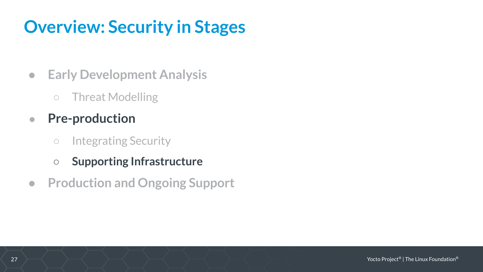# **Overview: Security in Stages**

- **● Early Development Analysis**
	- Threat Modelling
- **● Pre-production**
	- Integrating Security
	- **○ Supporting Infrastructure**
- **● Production and Ongoing Support**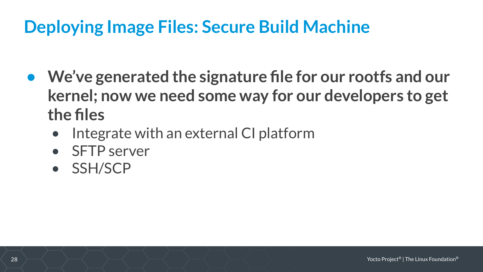## **Deploying Image Files: Secure Build Machine**

- **• We've generated the signature file for our rootfs and our kernel; now we need some way for our developers to get the files**
	- Integrate with an external CI platform
	- SFTP server
	- SSH/SCP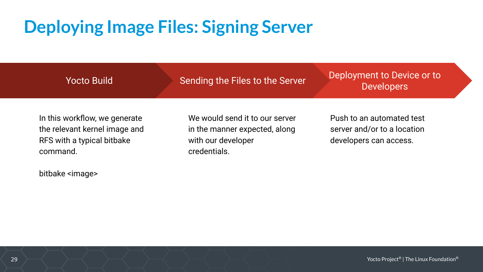# **Deploying Image Files: Signing Server**

Yocto Build

Sending the Files to the Server

Deployment to Device or to **Developers** 

In this workflow, we generate the relevant kernel image and RFS with a typical bitbake command.

bitbake <image>

We would send it to our server in the manner expected, along with our developer credentials.

Push to an automated test server and/or to a location developers can access.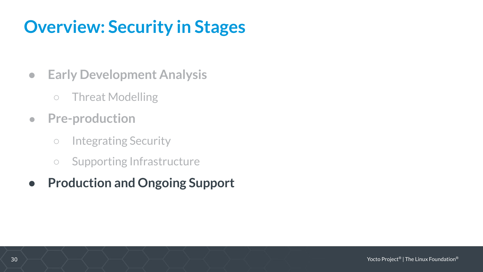# **Overview: Security in Stages**

- **● Early Development Analysis**
	- Threat Modelling
- **● Pre-production**
	- Integrating Security
	- Supporting Infrastructure
- **● Production and Ongoing Support**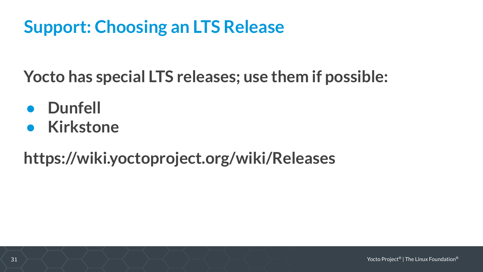#### **Support: Choosing an LTS Release**

**Yocto has special LTS releases; use them if possible:**

- **● Dunfell**
- **● Kirkstone**

**https://wiki.yoctoproject.org/wiki/Releases**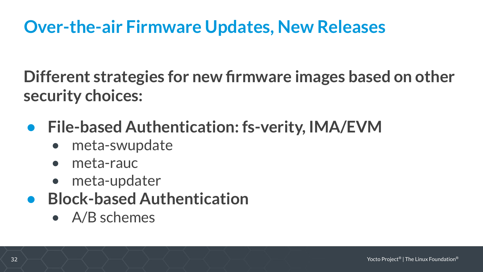#### **Over-the-air Firmware Updates, New Releases**

**Different strategies for new firmware images based on other security choices:**

- **• File-based Authentication: fs-verity, IMA/EVM**
	- meta-swupdate
	- meta-rauc
	- meta-updater
- **• Block-based Authentication**
	- A/B schemes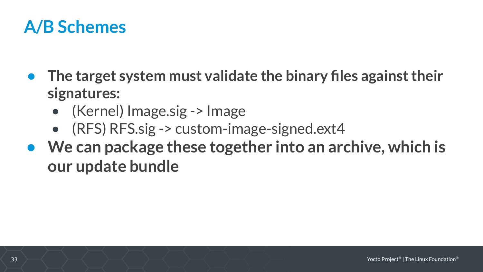#### **A/B Schemes**

- **• The target system must validate the binary files against their signatures:**
	- (Kernel) Image.sig -> Image
	- (RFS) RFS.sig -> custom-image-signed.ext4
- **• We can package these together into an archive, which is our update bundle**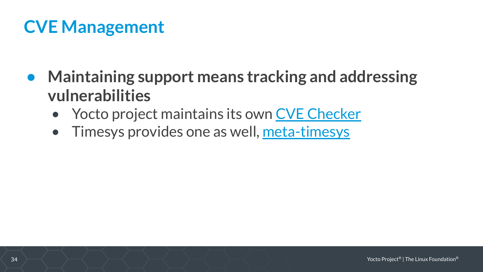## **CVE Management**

- **• Maintaining support means tracking and addressing vulnerabilities**
	- Yocto project maintains its own [CVE Checker](https://www.google.com/url?q=https://git.yoctoproject.org/cgit/cgit.cgi/poky/tree/meta/classes/cve-check.bbclass&sa=D&source=editors&ust=1637704462964000&usg=AOvVaw1IaemKo0Tqi5C9qlFNy73X)
	- Timesys provides one as well, [meta-timesys](https://github.com/TimesysGit/meta-timesys)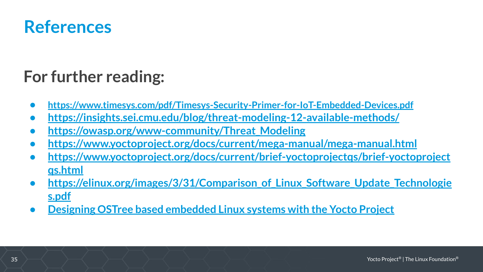

#### **For further reading:**

- **• <https://www.timesys.com/pdf/Timesys-Security-Primer-for-IoT-Embedded-Devices.pdf>**
- **• <https://insights.sei.cmu.edu/blog/threat-modeling-12-available-methods/>**
- **• [https://owasp.org/www-community/Threat\\_Modeling](https://owasp.org/www-community/Threat_Modeling)**
- **• <https://www.yoctoproject.org/docs/current/mega-manual/mega-manual.html>**
- [https://www.yoctoproject.org/docs/current/brief-yoctoprojectqs/brief-yoctoproject](https://www.yoctoproject.org/docs/current/brief-yoctoprojectqs/brief-yoctoprojectqs.html) **[qs.html](https://www.yoctoproject.org/docs/current/brief-yoctoprojectqs/brief-yoctoprojectqs.html)**
- **• [https://elinux.org/images/3/31/Comparison\\_of\\_Linux\\_Software\\_Update\\_Technologie](https://elinux.org/images/3/31/Comparison_of_Linux_Software_Update_Technologies.pdf) [s.pdf](https://elinux.org/images/3/31/Comparison_of_Linux_Software_Update_Technologies.pdf)**
- **• [Designing OSTree based embedded Linux systems with the Yocto Project](https://www.youtube.com/watch?v=3i48NbAS2jU)**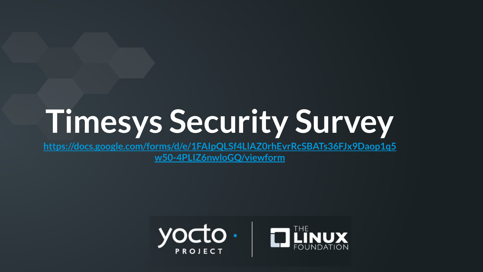# **Timesys Security Survey**

**[https://docs.google.com/forms/d/e/1FAIpQLSf4LlAZ0rhEvrRcSBATs36FJx9Daop1q5](https://docs.google.com/forms/d/e/1FAIpQLSf4LlAZ0rhEvrRcSBATs36FJx9Daop1q5w50-4PLIZ6nwloGQ/viewform) [w50-4PLIZ6nwloGQ/viewform](https://docs.google.com/forms/d/e/1FAIpQLSf4LlAZ0rhEvrRcSBATs36FJx9Daop1q5w50-4PLIZ6nwloGQ/viewform)**